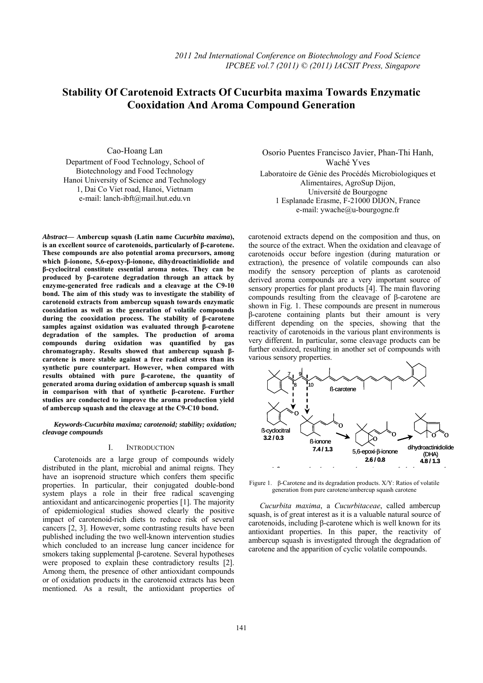# **Stability Of Carotenoid Extracts Of Cucurbita maxima Towards Enzymatic**   **Cooxidation And Aroma Compound Generation**

Cao-Hoang Lan Department of Food Technology, School of Biotechnology and Food Technology Hanoi University of Science and Technology 1, Dai Co Viet road, Hanoi, Vietnam e-mail: lanch-ibft@mail.hut.edu.vn

*Abstract***— Ambercup squash (Latin name** *Cucurbita maxima***), is an excellent source of carotenoids, particularly of β-carotene. These compounds are also potential aroma precursors, among which β-ionone, 5,6-epoxy-β-ionone, dihydroactinidiolide and β-cyclocitral constitute essential aroma notes. They can be produced by β-carotene degradation through an attack by enzyme-generated free radicals and a cleavage at the C9-10 bond. The aim of this study was to investigate the stability of carotenoid extracts from ambercup squash towards enzymatic cooxidation as well as the generation of volatile compounds during the cooxidation process. The stability of β-carotene samples against oxidation was evaluated through β-carotene degradation of the samples. The production of aroma compounds during oxidation was quantified by gas chromatography. Results showed that ambercup squash βcarotene is more stable against a free radical stress than its synthetic pure counterpart. However, when compared with results obtained with pure β-carotene, the quantity of generated aroma during oxidation of ambercup squash is small in comparison with that of synthetic β-carotene. Further studies are conducted to improve the aroma production yield of ambercup squash and the cleavage at the C9-C10 bond.** 

*Keywords-Cucurbita maxima; carotenoid; stability; oxidation; cleavage compounds* 

## I. INTRODUCTION

Carotenoids are a large group of compounds widely distributed in the plant, microbial and animal reigns. They have an isoprenoid structure which confers them specific properties. In particular, their conjugated double-bond system plays a role in their free radical scavenging antioxidant and anticarcinogenic properties [1]. The majority of epidemiological studies showed clearly the positive impact of carotenoid-rich diets to reduce risk of several cancers [2, 3]. However, some contrasting results have been published including the two well-known intervention studies which concluded to an increase lung cancer incidence for smokers taking supplemental β-carotene. Several hypotheses were proposed to explain these contradictory results [2]. Among them, the presence of other antioxidant compounds or of oxidation products in the carotenoid extracts has been mentioned. As a result, the antioxidant properties of

Osorio Puentes Francisco Javier, Phan-Thi Hanh, Waché Yves Laboratoire de Génie des Procédés Microbiologiques et Alimentaires, AgroSup Dijon, Université de Bourgogne 1 Esplanade Erasme, F-21000 DIJON, France e-mail: ywache@u-bourgogne.fr

carotenoid extracts depend on the composition and thus, on the source of the extract. When the oxidation and cleavage of carotenoids occur before ingestion (during maturation or extraction), the presence of volatile compounds can also modify the sensory perception of plants as carotenoid derived aroma compounds are a very important source of sensory properties for plant products [4]. The main flavoring compounds resulting from the cleavage of β-carotene are shown in Fig. 1. These compounds are present in numerous β-carotene containing plants but their amount is very different depending on the species, showing that the reactivity of carotenoids in the various plant environments is very different. In particular, some cleavage products can be further oxidized, resulting in another set of compounds with various sensory properties.



Figure 1. β-Carotene and its degradation products. X/Y: Ratios of volatile generation from pure carotene/ambercup squash carotene

*Cucurbita maxima*, a *Cucurbitaceae*, called ambercup squash, is of great interest as it is a valuable natural source of carotenoids, including β-carotene which is well known for its antioxidant properties. In this paper, the reactivity of ambercup squash is investigated through the degradation of carotene and the apparition of cyclic volatile compounds.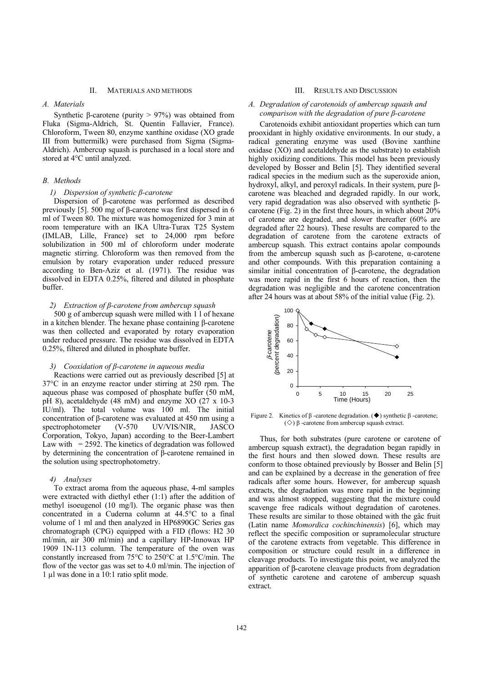#### II. MATERIALS AND METHODS

## *A. Materials*

Synthetic β-carotene (purity > 97%) was obtained from Fluka (Sigma-Aldrich, St. Quentin Fallavier, France). Chloroform, Tween 80, enzyme xanthine oxidase (XO grade III from buttermilk) were purchased from Sigma (Sigma-Aldrich). Ambercup squash is purchased in a local store and stored at 4°C until analyzed.

#### *B. Methods*

#### *1) Dispersion of synthetic β-carotene*

Dispersion of β-carotene was performed as described previously [5]. 500 mg of β-carotene was first dispersed in 6 ml of Tween 80. The mixture was homogenized for 3 min at room temperature with an IKA Ultra-Turax T25 System (IMLAB, Lille, France) set to 24,000 rpm before solubilization in 500 ml of chloroform under moderate magnetic stirring. Chloroform was then removed from the emulsion by rotary evaporation under reduced pressure according to Ben-Aziz et al. (1971). The residue was dissolved in EDTA 0.25%, filtered and diluted in phosphate buffer.

## *2) Extraction of β-carotene from ambercup squash*

 $500$  g of ambercup squash were milled with 1 l of hexane in a kitchen blender. The hexane phase containing β-carotene was then collected and evaporated by rotary evaporation under reduced pressure. The residue was dissolved in EDTA 0.25%, filtered and diluted in phosphate buffer.

#### *3) Cooxidation of β-carotene in aqueous media*

Reactions were carried out as previously described [5] at 37°C in an enzyme reactor under stirring at 250 rpm. The aqueous phase was composed of phosphate buffer (50 mM, pH 8), acetaldehyde (48 mM) and enzyme XO (27 x 10-3 IU/ml). The total volume was 100 ml. The initial concentration of β-carotene was evaluated at 450 nm using a spectrophotometer (V-570 UV/VIS/NIR, JASCO Corporation, Tokyo, Japan) according to the Beer-Lambert Law with  $= 2592$ . The kinetics of degradation was followed by determining the concentration of β-carotene remained in the solution using spectrophotometry.

## *4) Analyses*

To extract aroma from the aqueous phase, 4-ml samples were extracted with diethyl ether (1:1) after the addition of methyl isoeugenol (10 mg/l). The organic phase was then concentrated in a Cuderna column at 44.5°C to a final volume of 1 ml and then analyzed in HP6890GC Series gas chromatograph (CPG) equipped with a FID (flows: H2 30 ml/min, air 300 ml/min) and a capillary HP-Innowax HP 1909 1N-113 column. The temperature of the oven was constantly increased from 75°C to 250°C at 1.5°C/min. The flow of the vector gas was set to 4.0 ml/min. The injection of 1 µl was done in a 10:1 ratio split mode.

## III. RESULTS AND DISCUSSION

## *A. Degradation of carotenoids of ambercup squash and comparison with the degradation of pure β-carotene*

Carotenoids exhibit antioxidant properties which can turn prooxidant in highly oxidative environments. In our study, a radical generating enzyme was used (Bovine xanthine oxidase (XO) and acetaldehyde as the substrate) to establish highly oxidizing conditions. This model has been previously developed by Bosser and Belin [5]. They identified several radical species in the medium such as the superoxide anion, hydroxyl, alkyl, and peroxyl radicals. In their system, pure βcarotene was bleached and degraded rapidly. In our work, very rapid degradation was also observed with synthetic βcarotene (Fig. 2) in the first three hours, in which about 20% of carotene are degraded, and slower thereafter (60% are degraded after 22 hours). These results are compared to the degradation of carotene from the carotene extracts of ambercup squash. This extract contains apolar compounds from the ambercup squash such as β-carotene, α-carotene and other compounds. With this preparation containing a similar initial concentration of β-carotene, the degradation was more rapid in the first 6 hours of reaction, then the degradation was negligible and the carotene concentration after 24 hours was at about 58% of the initial value (Fig. 2).



Figure 2. Kinetics of β -carotene degradation. ( $\blacklozenge$ ) synthetic β -carotene;  $($   $\Diamond$ ) β -carotene from ambercup squash extract.

Thus, for both substrates (pure carotene or carotene of ambercup squash extract), the degradation began rapidly in the first hours and then slowed down. These results are conform to those obtained previously by Bosser and Belin [5] and can be explained by a decrease in the generation of free radicals after some hours. However, for ambercup squash extracts, the degradation was more rapid in the beginning and was almost stopped, suggesting that the mixture could scavenge free radicals without degradation of carotenes. These results are similar to those obtained with the gâc fruit (Latin name *Momordica cochinchinensis*) [6], which may reflect the specific composition or supramolecular structure of the carotene extracts from vegetable. This difference in composition or structure could result in a difference in cleavage products. To investigate this point, we analyzed the apparition of β-carotene cleavage products from degradation of synthetic carotene and carotene of ambercup squash extract.